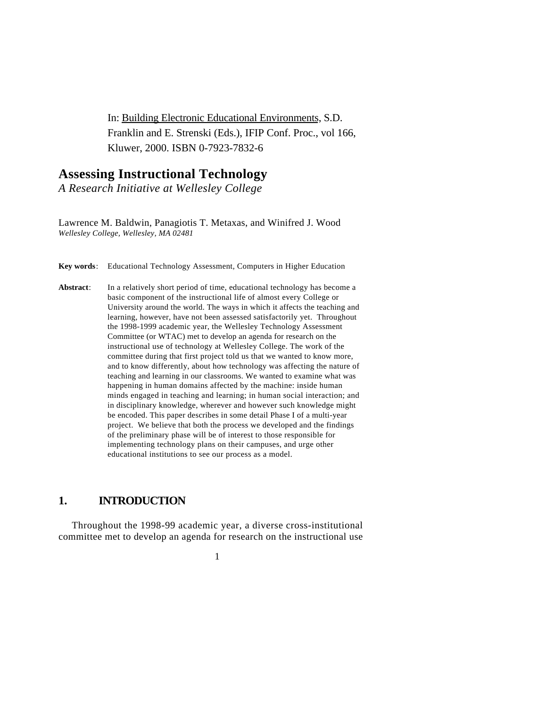# **Assessing Instructional Technology**

*A Research Initiative at Wellesley College*

Lawrence M. Baldwin, Panagiotis T. Metaxas, and Winifred J. Wood *Wellesley College, Wellesley, MA 02481*

**Key words**: Educational Technology Assessment, Computers in Higher Education

**Abstract**: In a relatively short period of time, educational technology has become a basic component of the instructional life of almost every College or University around the world. The ways in which it affects the teaching and learning, however, have not been assessed satisfactorily yet. Throughout the 1998-1999 academic year, the Wellesley Technology Assessment Committee (or WTAC) met to develop an agenda for research on the instructional use of technology at Wellesley College. The work of the committee during that first project told us that we wanted to know more, and to know differently, about how technology was affecting the nature of teaching and learning in our classrooms. We wanted to examine what was happening in human domains affected by the machine: inside human minds engaged in teaching and learning; in human social interaction; and in disciplinary knowledge, wherever and however such knowledge might be encoded. This paper describes in some detail Phase I of a multi-year project. We believe that both the process we developed and the findings of the preliminary phase will be of interest to those responsible for implementing technology plans on their campuses, and urge other educational institutions to see our process as a model.

## **1. INTRODUCTION**

Throughout the 1998-99 academic year, a diverse cross-institutional committee met to develop an agenda for research on the instructional use

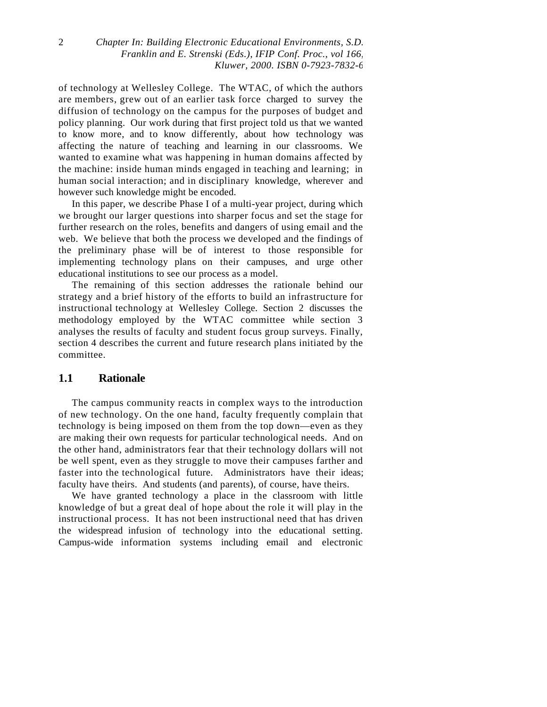of technology at Wellesley College. The WTAC, of which the authors are members, grew out of an earlier task force charged to survey the diffusion of technology on the campus for the purposes of budget and policy planning. Our work during that first project told us that we wanted to know more, and to know differently, about how technology was affecting the nature of teaching and learning in our classrooms. We wanted to examine what was happening in human domains affected by the machine: inside human minds engaged in teaching and learning; in human social interaction; and in disciplinary knowledge, wherever and however such knowledge might be encoded.

In this paper, we describe Phase I of a multi-year project, during which we brought our larger questions into sharper focus and set the stage for further research on the roles, benefits and dangers of using email and the web. We believe that both the process we developed and the findings of the preliminary phase will be of interest to those responsible for implementing technology plans on their campuses, and urge other educational institutions to see our process as a model.

The remaining of this section addresses the rationale behind our strategy and a brief history of the efforts to build an infrastructure for instructional technology at Wellesley College. Section 2 discusses the methodology employed by the WTAC committee while section 3 analyses the results of faculty and student focus group surveys. Finally, section 4 describes the current and future research plans initiated by the committee.

## **1.1 Rationale**

The campus community reacts in complex ways to the introduction of new technology. On the one hand, faculty frequently complain that technology is being imposed on them from the top down—even as they are making their own requests for particular technological needs. And on the other hand, administrators fear that their technology dollars will not be well spent, even as they struggle to move their campuses farther and faster into the technological future. Administrators have their ideas; faculty have theirs. And students (and parents), of course, have theirs.

We have granted technology a place in the classroom with little knowledge of but a great deal of hope about the role it will play in the instructional process. It has not been instructional need that has driven the widespread infusion of technology into the educational setting. Campus-wide information systems including email and electronic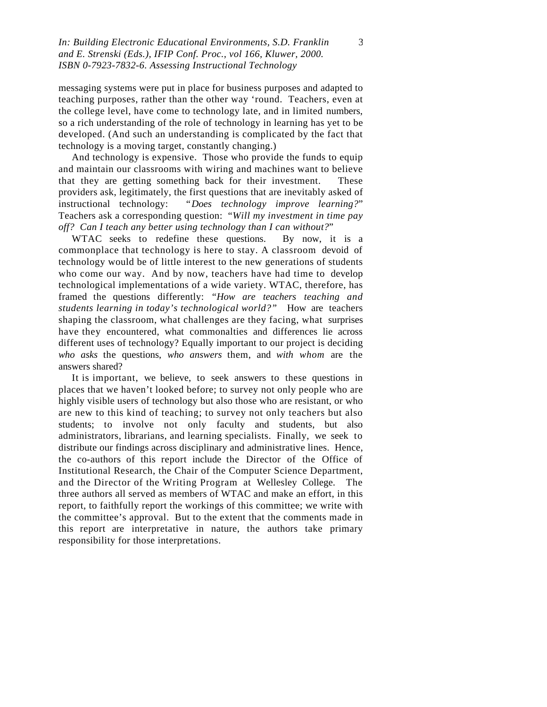messaging systems were put in place for business purposes and adapted to teaching purposes, rather than the other way 'round. Teachers, even at the college level, have come to technology late, and in limited numbers, so a rich understanding of the role of technology in learning has yet to be developed. (And such an understanding is complicated by the fact that technology is a moving target, constantly changing.)

And technology is expensive. Those who provide the funds to equip and maintain our classrooms with wiring and machines want to believe that they are getting something back for their investment. These providers ask, legitimately, the first questions that are inevitably asked of instructional technology: "*Does technology improve learning?*" Teachers ask a corresponding question: "*Will my investment in time pay off? Can I teach any better using technology than I can without?*"

WTAC seeks to redefine these questions. By now, it is a commonplace that technology is here to stay. A classroom devoid of technology would be of little interest to the new generations of students who come our way. And by now, teachers have had time to develop technological implementations of a wide variety. WTAC, therefore, has framed the questions differently: *"How are teachers teaching and students learning in today's technological world?"* How are teachers shaping the classroom, what challenges are they facing, what surprises have they encountered, what commonalties and differences lie across different uses of technology? Equally important to our project is deciding *who asks* the questions, *who answers* them, and *with whom* are the answers shared?

It is important, we believe, to seek answers to these questions in places that we haven't looked before; to survey not only people who are highly visible users of technology but also those who are resistant, or who are new to this kind of teaching; to survey not only teachers but also students; to involve not only faculty and students, but also administrators, librarians, and learning specialists. Finally, we seek to distribute our findings across disciplinary and administrative lines. Hence, the co-authors of this report include the Director of the Office of Institutional Research, the Chair of the Computer Science Department, and the Director of the Writing Program at Wellesley College. The three authors all served as members of WTAC and make an effort, in this report, to faithfully report the workings of this committee; we write with the committee's approval. But to the extent that the comments made in this report are interpretative in nature, the authors take primary responsibility for those interpretations.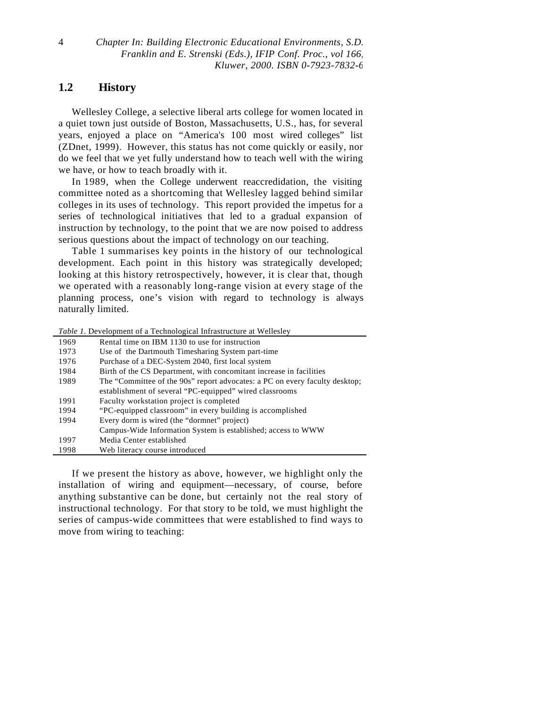# **1.2 History**

Wellesley College, a selective liberal arts college for women located in a quiet town just outside of Boston, Massachusetts, U.S., has, for several years, enjoyed a place on "America's 100 most wired colleges" list (ZDnet, 1999). However, this status has not come quickly or easily, nor do we feel that we yet fully understand how to teach well with the wiring we have, or how to teach broadly with it.

In 1989, when the College underwent reaccredidation, the visiting committee noted as a shortcoming that Wellesley lagged behind similar colleges in its uses of technology. This report provided the impetus for a series of technological initiatives that led to a gradual expansion of instruction by technology, to the point that we are now poised to address serious questions about the impact of technology on our teaching.

Table 1 summarises key points in the history of our technological development. Each point in this history was strategically developed; looking at this history retrospectively, however, it is clear that, though we operated with a reasonably long-range vision at every stage of the planning process, one's vision with regard to technology is always naturally limited.

|      | Table 1. Development of a Technological Infrastructure at Wellesley         |
|------|-----------------------------------------------------------------------------|
| 1969 | Rental time on IBM 1130 to use for instruction                              |
| 1973 | Use of the Dartmouth Timesharing System part-time                           |
| 1976 | Purchase of a DEC-System 2040, first local system                           |
| 1984 | Birth of the CS Department, with concomitant increase in facilities         |
| 1989 | The "Committee of the 90s" report advocates: a PC on every faculty desktop; |
|      | establishment of several "PC-equipped" wired classrooms                     |
| 1991 | Faculty workstation project is completed                                    |
| 1994 | "PC-equipped classroom" in every building is accomplished                   |
| 1994 | Every dorm is wired (the "dormnet" project)                                 |
|      | Campus-Wide Information System is established; access to WWW                |
| 1997 | Media Center established                                                    |
| 1998 | Web literacy course introduced                                              |

If we present the history as above, however, we highlight only the installation of wiring and equipment—necessary, of course, before anything substantive can be done, but certainly not the real story of instructional technology. For that story to be told, we must highlight the series of campus-wide committees that were established to find ways to move from wiring to teaching: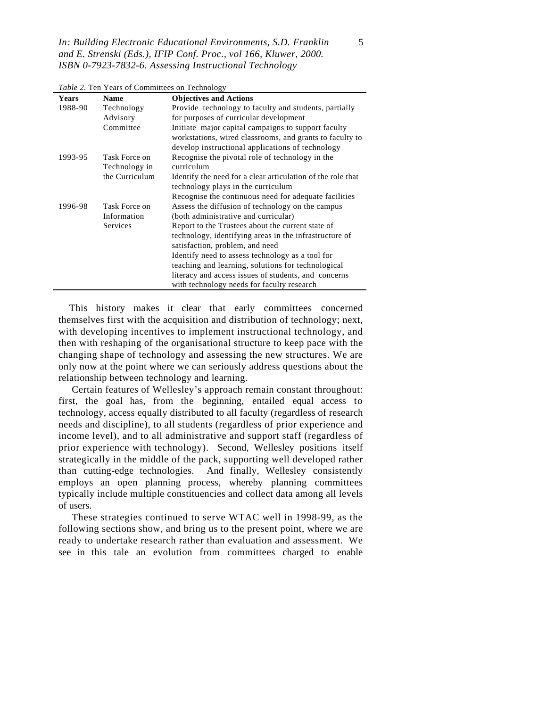| <b>Years</b> | <b>Name</b>    | <b>Objectives and Actions</b>                               |
|--------------|----------------|-------------------------------------------------------------|
| 1988-90      | Technology     | Provide technology to faculty and students, partially       |
|              | Advisory       | for purposes of curricular development                      |
|              | Committee      | Initiate major capital campaigns to support faculty         |
|              |                | workstations, wired classrooms, and grants to faculty to    |
|              |                | develop instructional applications of technology            |
| 1993-95      | Task Force on  | Recognise the pivotal role of technology in the             |
|              | Technology in  | curriculum                                                  |
|              | the Curriculum | Identify the need for a clear articulation of the role that |
|              |                | technology plays in the curriculum                          |
|              |                | Recognise the continuous need for adequate facilities       |
| 1996-98      | Task Force on  | Assess the diffusion of technology on the campus            |
|              | Information    | (both administrative and curricular)                        |
|              | Services       | Report to the Trustees about the current state of           |
|              |                | technology, identifying areas in the infrastructure of      |
|              |                | satisfaction, problem, and need                             |
|              |                | Identify need to assess technology as a tool for            |
|              |                | teaching and learning, solutions for technological          |
|              |                | literacy and access issues of students, and concerns        |
|              |                | with technology needs for faculty research                  |

*Table 2.* Ten Years of Committees on Technology

This history makes it clear that early committees concerned themselves first with the acquisition and distribution of technology; next, with developing incentives to implement instructional technology, and then with reshaping of the organisational structure to keep pace with the changing shape of technology and assessing the new structures. We are only now at the point where we can seriously address questions about the relationship between technology and learning.

Certain features of Wellesley's approach remain constant throughout: first, the goal has, from the beginning, entailed equal access to technology, access equally distributed to all faculty (regardless of research needs and discipline), to all students (regardless of prior experience and income level), and to all administrative and support staff (regardless of prior experience with technology). Second, Wellesley positions itself strategically in the middle of the pack, supporting well developed rather than cutting-edge technologies. And finally, Wellesley consistently employs an open planning process, whereby planning committees typically include multiple constituencies and collect data among all levels of users.

These strategies continued to serve WTAC well in 1998-99, as the following sections show, and bring us to the present point, where we are ready to undertake research rather than evaluation and assessment. We see in this tale an evolution from committees charged to enable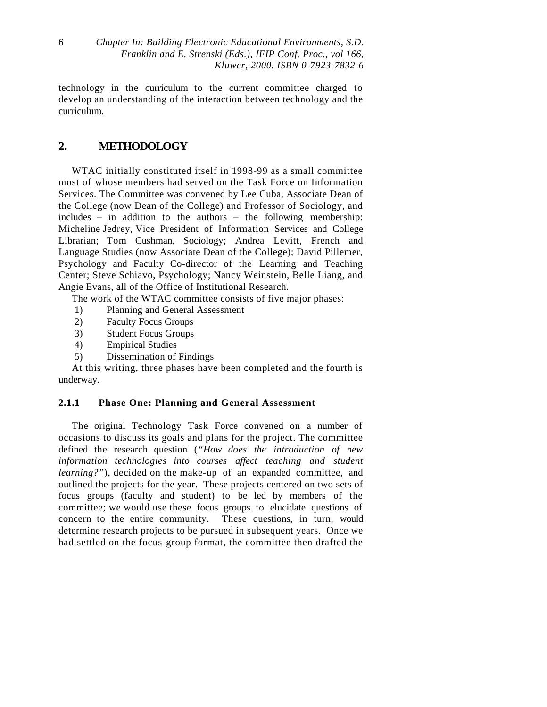technology in the curriculum to the current committee charged to develop an understanding of the interaction between technology and the curriculum.

# **2. METHODOLOGY**

WTAC initially constituted itself in 1998-99 as a small committee most of whose members had served on the Task Force on Information Services. The Committee was convened by Lee Cuba, Associate Dean of the College (now Dean of the College) and Professor of Sociology, and includes – in addition to the authors – the following membership: Micheline Jedrey, Vice President of Information Services and College Librarian; Tom Cushman, Sociology; Andrea Levitt, French and Language Studies (now Associate Dean of the College); David Pillemer, Psychology and Faculty Co-director of the Learning and Teaching Center; Steve Schiavo, Psychology; Nancy Weinstein, Belle Liang, and Angie Evans, all of the Office of Institutional Research.

The work of the WTAC committee consists of five major phases:

- 1) Planning and General Assessment
- 2) Faculty Focus Groups
- 3) Student Focus Groups
- 4) Empirical Studies
- 5) Dissemination of Findings

At this writing, three phases have been completed and the fourth is underway.

#### **2.1.1 Phase One: Planning and General Assessment**

The original Technology Task Force convened on a number of occasions to discuss its goals and plans for the project. The committee defined the research question (*"How does the introduction of new information technologies into courses affect teaching and student learning?"*), decided on the make-up of an expanded committee, and outlined the projects for the year. These projects centered on two sets of focus groups (faculty and student) to be led by members of the committee; we would use these focus groups to elucidate questions of concern to the entire community. These questions, in turn, would determine research projects to be pursued in subsequent years. Once we had settled on the focus-group format, the committee then drafted the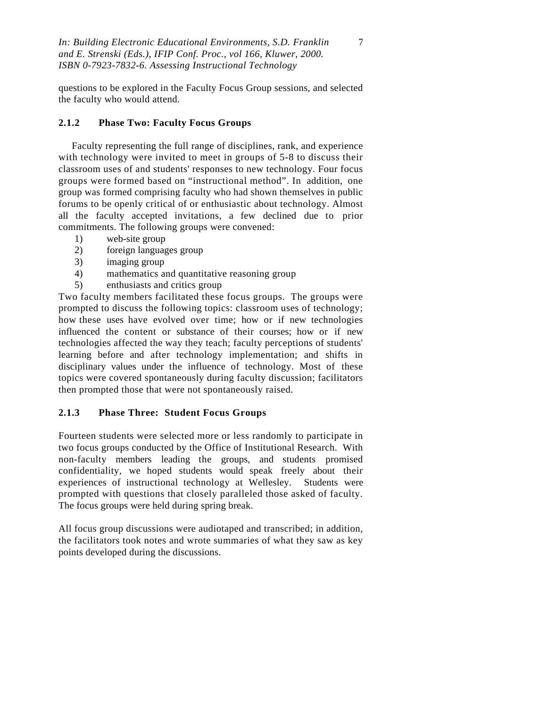questions to be explored in the Faculty Focus Group sessions, and selected the faculty who would attend.

### **2.1.2 Phase Two: Faculty Focus Groups**

Faculty representing the full range of disciplines, rank, and experience with technology were invited to meet in groups of 5-8 to discuss their classroom uses of and students' responses to new technology. Four focus groups were formed based on "instructional method". In addition, one group was formed comprising faculty who had shown themselves in public forums to be openly critical of or enthusiastic about technology. Almost all the faculty accepted invitations, a few declined due to prior commitments. The following groups were convened:

- 1) web-site group
- 2) foreign languages group
- 3) imaging group
- 4) mathematics and quantitative reasoning group
- 5) enthusiasts and critics group

Two faculty members facilitated these focus groups. The groups were prompted to discuss the following topics: classroom uses of technology; how these uses have evolved over time; how or if new technologies influenced the content or substance of their courses; how or if new technologies affected the way they teach; faculty perceptions of students' learning before and after technology implementation; and shifts in disciplinary values under the influence of technology. Most of these topics were covered spontaneously during faculty discussion; facilitators then prompted those that were not spontaneously raised.

#### **2.1.3 Phase Three: Student Focus Groups**

Fourteen students were selected more or less randomly to participate in two focus groups conducted by the Office of Institutional Research. With non-faculty members leading the groups, and students promised confidentiality, we hoped students would speak freely about their experiences of instructional technology at Wellesley. Students were prompted with questions that closely paralleled those asked of faculty. The focus groups were held during spring break.

All focus group discussions were audiotaped and transcribed; in addition, the facilitators took notes and wrote summaries of what they saw as key points developed during the discussions.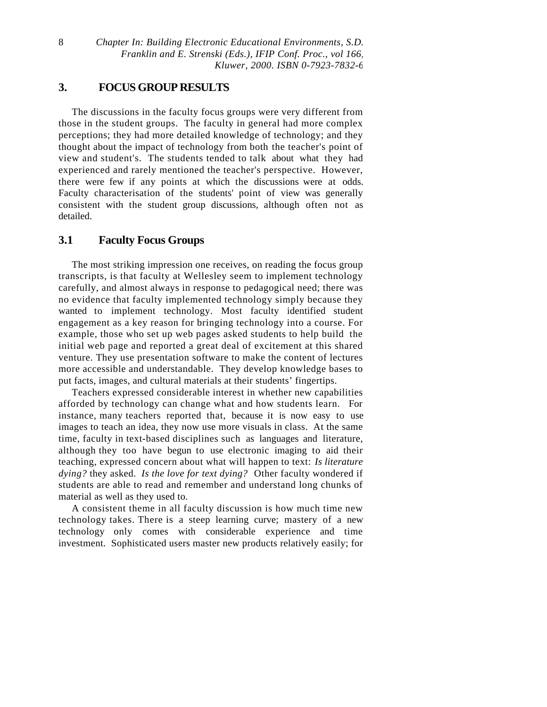# **3. FOCUS GROUP RESULTS**

The discussions in the faculty focus groups were very different from those in the student groups. The faculty in general had more complex perceptions; they had more detailed knowledge of technology; and they thought about the impact of technology from both the teacher's point of view and student's. The students tended to talk about what they had experienced and rarely mentioned the teacher's perspective. However, there were few if any points at which the discussions were at odds. Faculty characterisation of the students' point of view was generally consistent with the student group discussions, although often not as detailed.

# **3.1 Faculty Focus Groups**

The most striking impression one receives, on reading the focus group transcripts, is that faculty at Wellesley seem to implement technology carefully, and almost always in response to pedagogical need; there was no evidence that faculty implemented technology simply because they wanted to implement technology. Most faculty identified student engagement as a key reason for bringing technology into a course. For example, those who set up web pages asked students to help build the initial web page and reported a great deal of excitement at this shared venture. They use presentation software to make the content of lectures more accessible and understandable. They develop knowledge bases to put facts, images, and cultural materials at their students' fingertips.

Teachers expressed considerable interest in whether new capabilities afforded by technology can change what and how students learn. For instance, many teachers reported that, because it is now easy to use images to teach an idea, they now use more visuals in class. At the same time, faculty in text-based disciplines such as languages and literature, although they too have begun to use electronic imaging to aid their teaching, expressed concern about what will happen to text: *Is literature dying?* they asked. *Is the love for text dying?* Other faculty wondered if students are able to read and remember and understand long chunks of material as well as they used to.

A consistent theme in all faculty discussion is how much time new technology takes. There is a steep learning curve; mastery of a new technology only comes with considerable experience and time investment. Sophisticated users master new products relatively easily; for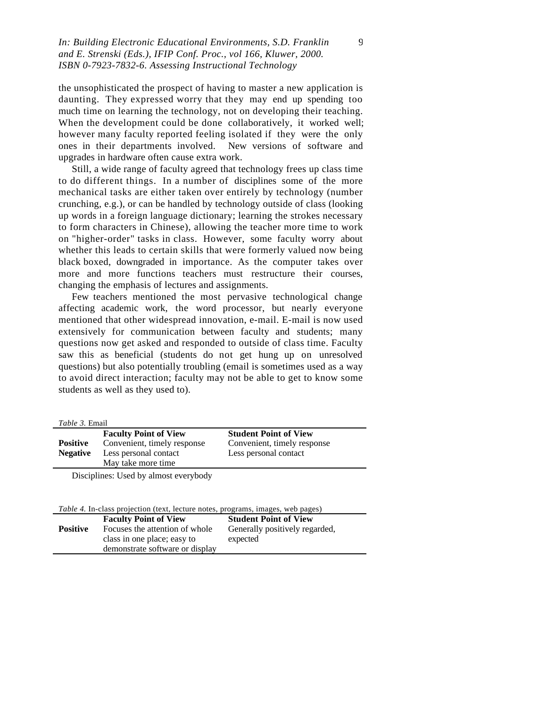the unsophisticated the prospect of having to master a new application is daunting. They expressed worry that they may end up spending too much time on learning the technology, not on developing their teaching. When the development could be done collaboratively, it worked well; however many faculty reported feeling isolated if they were the only ones in their departments involved. New versions of software and upgrades in hardware often cause extra work.

Still, a wide range of faculty agreed that technology frees up class time to do different things. In a number of disciplines some of the more mechanical tasks are either taken over entirely by technology (number crunching, e.g.), or can be handled by technology outside of class (looking up words in a foreign language dictionary; learning the strokes necessary to form characters in Chinese), allowing the teacher more time to work on "higher-order" tasks in class. However, some faculty worry about whether this leads to certain skills that were formerly valued now being black boxed, downgraded in importance. As the computer takes over more and more functions teachers must restructure their courses, changing the emphasis of lectures and assignments.

Few teachers mentioned the most pervasive technological change affecting academic work, the word processor, but nearly everyone mentioned that other widespread innovation, e-mail. E-mail is now used extensively for communication between faculty and students; many questions now get asked and responded to outside of class time. Faculty saw this as beneficial (students do not get hung up on unresolved questions) but also potentially troubling (email is sometimes used as a way to avoid direct interaction; faculty may not be able to get to know some students as well as they used to).

*Table 3.* Email

| <b>Positive</b><br><b>Negative</b> | <b>Faculty Point of View</b><br>Convenient, timely response<br>Less personal contact<br>May take more time. | <b>Student Point of View</b><br>Convenient, timely response<br>Less personal contact |
|------------------------------------|-------------------------------------------------------------------------------------------------------------|--------------------------------------------------------------------------------------|
|                                    | Disciplines: Used by almost everybody                                                                       |                                                                                      |
|                                    |                                                                                                             |                                                                                      |
|                                    |                                                                                                             |                                                                                      |
|                                    | <i>Table 4.</i> In-class projection (text, lecture notes, programs, images, web pages)                      |                                                                                      |
|                                    | <b>Faculty Point of View</b>                                                                                | <b>Student Point of View</b>                                                         |
| <b>Positive</b>                    | Focuses the attention of whole                                                                              | Generally positively regarded,                                                       |
|                                    | class in one place; easy to                                                                                 | expected                                                                             |
|                                    | demonstrate software or display                                                                             |                                                                                      |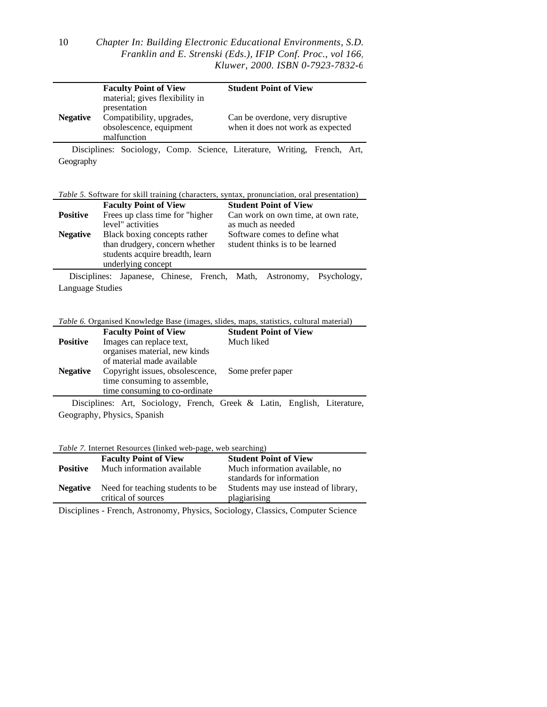|                 | material; gives flexibility in<br>presentation                     |                                                                       |
|-----------------|--------------------------------------------------------------------|-----------------------------------------------------------------------|
| <b>Negative</b> | Compatibility, upgrades,<br>obsolescence, equipment<br>malfunction | Can be overdone, very disruptive<br>when it does not work as expected |

Disciplines: Sociology, Comp. Science, Literature, Writing, French, Art, Geography

| Table 5. Software for skill training (characters, syntax, pronunciation, oral presentation) |  |  |
|---------------------------------------------------------------------------------------------|--|--|
|                                                                                             |  |  |

|                 | <b>Faculty Point of View</b>                                                                                            | <b>Student Point of View</b>                                     |
|-----------------|-------------------------------------------------------------------------------------------------------------------------|------------------------------------------------------------------|
| <b>Positive</b> | Frees up class time for "higher"                                                                                        | Can work on own time, at own rate,                               |
|                 | level" activities                                                                                                       | as much as needed                                                |
| <b>Negative</b> | Black boxing concepts rather<br>than drudgery, concern whether<br>students acquire breadth, learn<br>underlying concept | Software comes to define what<br>student thinks is to be learned |
|                 |                                                                                                                         |                                                                  |

Disciplines: Japanese, Chinese, French, Math, Astronomy, Psychology, Language Studies

*Table 6.* Organised Knowledge Base (images, slides, maps, statistics, cultural material)

|                 | <b>Faculty Point of View</b>                                   | <b>Student Point of View</b>         |
|-----------------|----------------------------------------------------------------|--------------------------------------|
| <b>Positive</b> | Images can replace text,                                       | Much liked                           |
|                 | organises material, new kinds<br>of material made available    |                                      |
| <b>Negative</b> | Copyright issues, obsolescence,<br>time consuming to assemble, | Some prefer paper                    |
|                 | time consuming to co-ordinate                                  |                                      |
|                 |                                                                | י ידי היו מידים ולא היה מידים וני המ |

Disciplines: Art, Sociology, French, Greek & Latin, English, Literature, Geography, Physics, Spanish

| Table 7. Internet Resources (linked web-page, web searching) |
|--------------------------------------------------------------|
|--------------------------------------------------------------|

|                 | <b>Faculty Point of View</b>     | <b>Student Point of View</b>         |
|-----------------|----------------------------------|--------------------------------------|
| <b>Positive</b> | Much information available       | Much information available, no       |
|                 |                                  | standards for information            |
| <b>Negative</b> | Need for teaching students to be | Students may use instead of library, |
|                 | critical of sources              | plagiarising                         |

Disciplines - French, Astronomy, Physics, Sociology, Classics, Computer Science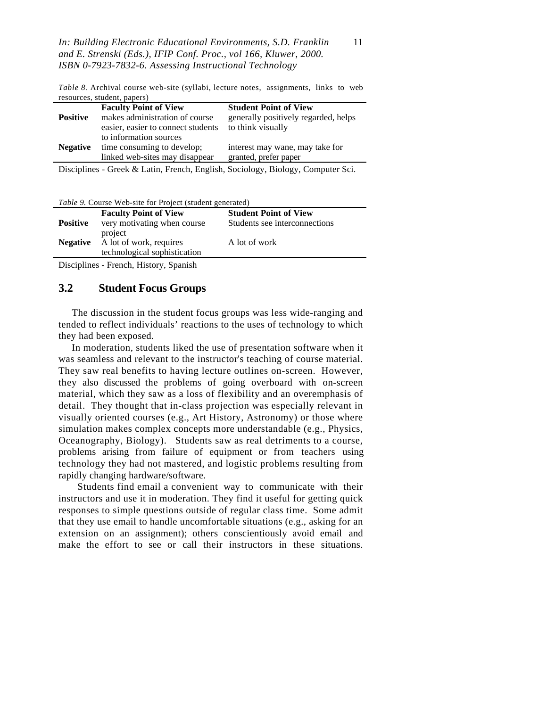*Table 8.* Archival course web-site (syllabi, lecture notes, assignments, links to web resources, student, papers)

|                 | <b>Faculty Point of View</b>       | <b>Student Point of View</b>                                                    |  |
|-----------------|------------------------------------|---------------------------------------------------------------------------------|--|
| <b>Positive</b> | makes administration of course     | generally positively regarded, helps                                            |  |
|                 | easier, easier to connect students | to think visually                                                               |  |
|                 | to information sources             |                                                                                 |  |
| <b>Negative</b> | time consuming to develop;         | interest may wane, may take for                                                 |  |
|                 | linked web-sites may disappear     | granted, prefer paper                                                           |  |
|                 |                                    | Disciplines - Greek & Latin, French, English, Sociology, Biology, Computer Sci. |  |

*Table 9.* Course Web-site for Project (student generated)

|                 | <b>Faculty Point of View</b>                                       | <b>Student Point of View</b>  |
|-----------------|--------------------------------------------------------------------|-------------------------------|
| <b>Positive</b> | very motivating when course                                        | Students see interconnections |
| <b>Negative</b> | project<br>A lot of work, requires<br>technological sophistication | A lot of work                 |

Disciplines - French, History, Spanish

## **3.2 Student Focus Groups**

The discussion in the student focus groups was less wide-ranging and tended to reflect individuals' reactions to the uses of technology to which they had been exposed.

In moderation, students liked the use of presentation software when it was seamless and relevant to the instructor's teaching of course material. They saw real benefits to having lecture outlines on-screen. However, they also discussed the problems of going overboard with on-screen material, which they saw as a loss of flexibility and an overemphasis of detail. They thought that in-class projection was especially relevant in visually oriented courses (e.g., Art History, Astronomy) or those where simulation makes complex concepts more understandable (e.g., Physics, Oceanography, Biology). Students saw as real detriments to a course, problems arising from failure of equipment or from teachers using technology they had not mastered, and logistic problems resulting from rapidly changing hardware/software.

 Students find email a convenient way to communicate with their instructors and use it in moderation. They find it useful for getting quick responses to simple questions outside of regular class time. Some admit that they use email to handle uncomfortable situations (e.g., asking for an extension on an assignment); others conscientiously avoid email and make the effort to see or call their instructors in these situations.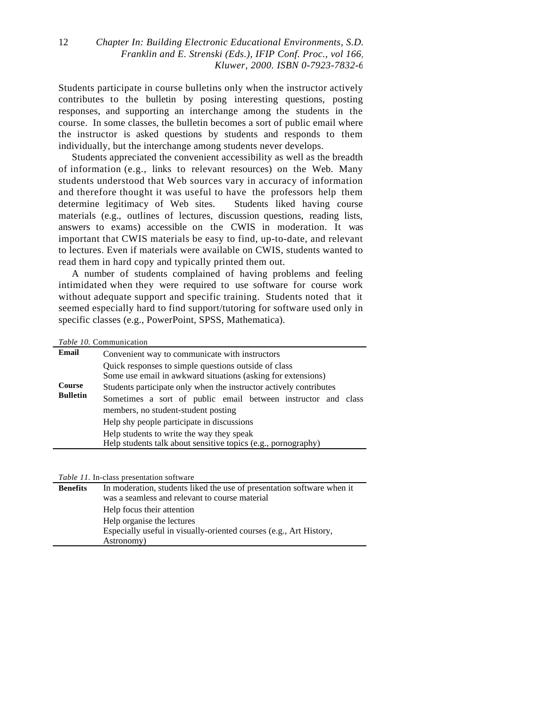Students participate in course bulletins only when the instructor actively contributes to the bulletin by posing interesting questions, posting responses, and supporting an interchange among the students in the course. In some classes, the bulletin becomes a sort of public email where the instructor is asked questions by students and responds to them individually, but the interchange among students never develops.

Students appreciated the convenient accessibility as well as the breadth of information (e.g., links to relevant resources) on the Web. Many students understood that Web sources vary in accuracy of information and therefore thought it was useful to have the professors help them determine legitimacy of Web sites. Students liked having course materials (e.g., outlines of lectures, discussion questions, reading lists, answers to exams) accessible on the CWIS in moderation. It was important that CWIS materials be easy to find, up-to-date, and relevant to lectures. Even if materials were available on CWIS, students wanted to read them in hard copy and typically printed them out.

A number of students complained of having problems and feeling intimidated when they were required to use software for course work without adequate support and specific training. Students noted that it seemed especially hard to find support/tutoring for software used only in specific classes (e.g., PowerPoint, SPSS, Mathematica).

| Email           | Convenient way to communicate with instructors                                                                       |  |  |  |  |  |
|-----------------|----------------------------------------------------------------------------------------------------------------------|--|--|--|--|--|
|                 | Quick responses to simple questions outside of class<br>Some use email in awkward situations (asking for extensions) |  |  |  |  |  |
| <b>Course</b>   | Students participate only when the instructor actively contributes                                                   |  |  |  |  |  |
| <b>Bulletin</b> | Sometimes a sort of public email between instructor and class                                                        |  |  |  |  |  |
|                 | members, no student-student posting                                                                                  |  |  |  |  |  |
|                 | Help shy people participate in discussions                                                                           |  |  |  |  |  |
|                 | Help students to write the way they speak                                                                            |  |  |  |  |  |
|                 | Help students talk about sensitive topics (e.g., pornography)                                                        |  |  |  |  |  |

| Table 11. In-class presentation software |  |  |
|------------------------------------------|--|--|
|------------------------------------------|--|--|

| <b>Benefits</b> | In moderation, students liked the use of presentation software when it<br>was a seamless and relevant to course material |
|-----------------|--------------------------------------------------------------------------------------------------------------------------|
|                 | Help focus their attention                                                                                               |
|                 | Help organise the lectures                                                                                               |
|                 | Especially useful in visually-oriented courses (e.g., Art History,                                                       |
|                 | Astronomy)                                                                                                               |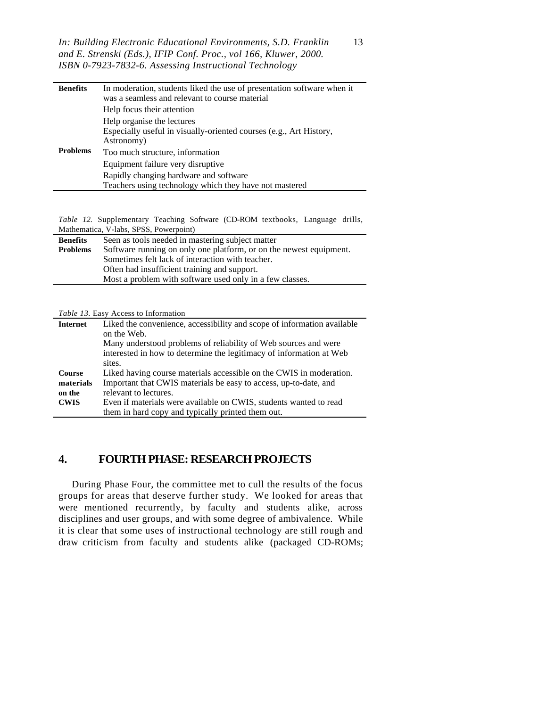| <b>Benefits</b> | In moderation, students liked the use of presentation software when it<br>was a seamless and relevant to course material |  |  |  |
|-----------------|--------------------------------------------------------------------------------------------------------------------------|--|--|--|
|                 | Help focus their attention                                                                                               |  |  |  |
|                 | Help organise the lectures<br>Especially useful in visually-oriented courses (e.g., Art History,<br>Astronomy)           |  |  |  |
| <b>Problems</b> | Too much structure, information                                                                                          |  |  |  |
|                 | Equipment failure very disruptive                                                                                        |  |  |  |
|                 | Rapidly changing hardware and software                                                                                   |  |  |  |
|                 | Teachers using technology which they have not mastered                                                                   |  |  |  |

|  | <i>Table 12.</i> Supplementary Teaching Software (CD-ROM textbooks, Language drills, |  |  |  |
|--|--------------------------------------------------------------------------------------|--|--|--|
|  | Mathematica, V-labs, SPSS, Powerpoint)                                               |  |  |  |
|  |                                                                                      |  |  |  |

| <b>Benefits</b> | Seen as tools needed in mastering subject matter                   |  |  |  |
|-----------------|--------------------------------------------------------------------|--|--|--|
| <b>Problems</b> | Software running on only one platform, or on the newest equipment. |  |  |  |
|                 | Sometimes felt lack of interaction with teacher.                   |  |  |  |
|                 | Often had insufficient training and support.                       |  |  |  |
|                 | Most a problem with software used only in a few classes.           |  |  |  |

*Table 13.* Easy Access to Information

| <b>Internet</b> | Liked the convenience, accessibility and scope of information available<br>on the Web.                                                           |
|-----------------|--------------------------------------------------------------------------------------------------------------------------------------------------|
|                 | Many understood problems of reliability of Web sources and were<br>interested in how to determine the legitimacy of information at Web<br>sites. |
| <b>Course</b>   | Liked having course materials accessible on the CWIS in moderation.                                                                              |
| materials       | Important that CWIS materials be easy to access, up-to-date, and                                                                                 |
| on the          | relevant to lectures.                                                                                                                            |
| <b>CWIS</b>     | Even if materials were available on CWIS, students wanted to read                                                                                |
|                 | them in hard copy and typically printed them out.                                                                                                |

# **4. FOURTH PHASE: RESEARCH PROJECTS**

During Phase Four, the committee met to cull the results of the focus groups for areas that deserve further study. We looked for areas that were mentioned recurrently, by faculty and students alike, across disciplines and user groups, and with some degree of ambivalence. While it is clear that some uses of instructional technology are still rough and draw criticism from faculty and students alike (packaged CD-ROMs;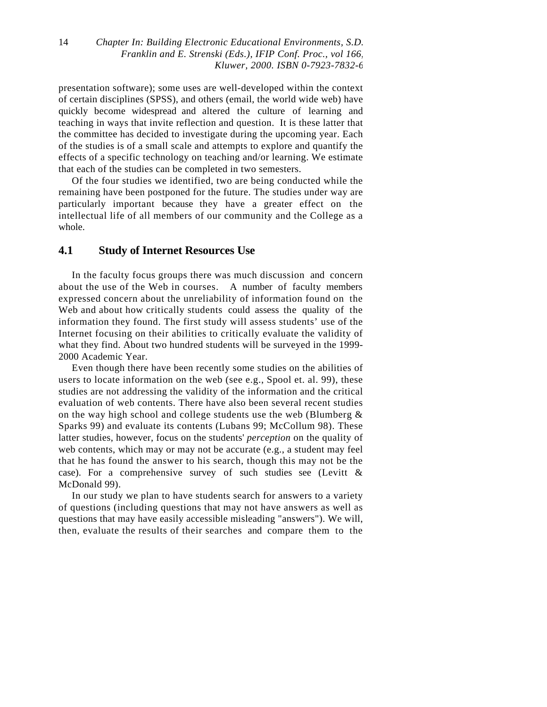presentation software); some uses are well-developed within the context of certain disciplines (SPSS), and others (email, the world wide web) have quickly become widespread and altered the culture of learning and teaching in ways that invite reflection and question. It is these latter that the committee has decided to investigate during the upcoming year. Each of the studies is of a small scale and attempts to explore and quantify the effects of a specific technology on teaching and/or learning. We estimate that each of the studies can be completed in two semesters.

Of the four studies we identified, two are being conducted while the remaining have been postponed for the future. The studies under way are particularly important because they have a greater effect on the intellectual life of all members of our community and the College as a whole.

### **4.1 Study of Internet Resources Use**

In the faculty focus groups there was much discussion and concern about the use of the Web in courses. A number of faculty members expressed concern about the unreliability of information found on the Web and about how critically students could assess the quality of the information they found. The first study will assess students' use of the Internet focusing on their abilities to critically evaluate the validity of what they find. About two hundred students will be surveyed in the 1999- 2000 Academic Year.

Even though there have been recently some studies on the abilities of users to locate information on the web (see e.g., Spool et. al. 99), these studies are not addressing the validity of the information and the critical evaluation of web contents. There have also been several recent studies on the way high school and college students use the web (Blumberg & Sparks 99) and evaluate its contents (Lubans 99; McCollum 98). These latter studies, however, focus on the students' *perception* on the quality of web contents, which may or may not be accurate (e.g., a student may feel that he has found the answer to his search, though this may not be the case). For a comprehensive survey of such studies see (Levitt & McDonald 99).

In our study we plan to have students search for answers to a variety of questions (including questions that may not have answers as well as questions that may have easily accessible misleading "answers"). We will, then, evaluate the results of their searches and compare them to the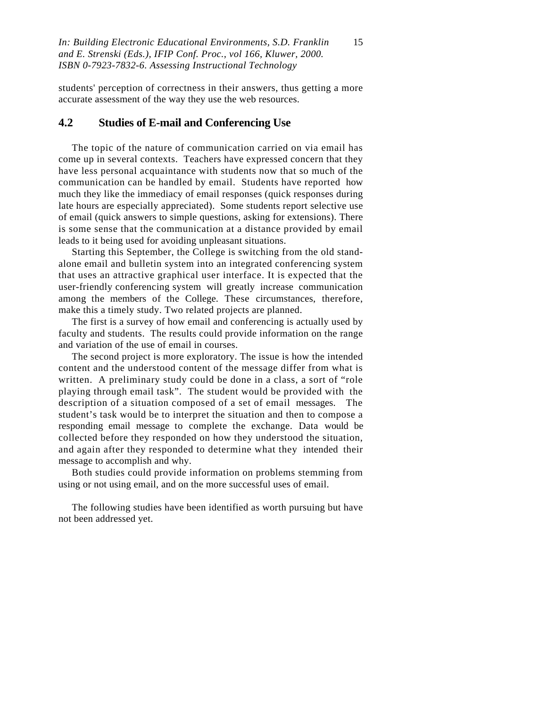students' perception of correctness in their answers, thus getting a more accurate assessment of the way they use the web resources.

### **4.2 Studies of E-mail and Conferencing Use**

The topic of the nature of communication carried on via email has come up in several contexts. Teachers have expressed concern that they have less personal acquaintance with students now that so much of the communication can be handled by email. Students have reported how much they like the immediacy of email responses (quick responses during late hours are especially appreciated). Some students report selective use of email (quick answers to simple questions, asking for extensions). There is some sense that the communication at a distance provided by email leads to it being used for avoiding unpleasant situations.

Starting this September, the College is switching from the old standalone email and bulletin system into an integrated conferencing system that uses an attractive graphical user interface. It is expected that the user-friendly conferencing system will greatly increase communication among the members of the College. These circumstances, therefore, make this a timely study. Two related projects are planned.

The first is a survey of how email and conferencing is actually used by faculty and students. The results could provide information on the range and variation of the use of email in courses.

The second project is more exploratory. The issue is how the intended content and the understood content of the message differ from what is written. A preliminary study could be done in a class, a sort of "role playing through email task". The student would be provided with the description of a situation composed of a set of email messages. The student's task would be to interpret the situation and then to compose a responding email message to complete the exchange. Data would be collected before they responded on how they understood the situation, and again after they responded to determine what they intended their message to accomplish and why.

Both studies could provide information on problems stemming from using or not using email, and on the more successful uses of email.

The following studies have been identified as worth pursuing but have not been addressed yet.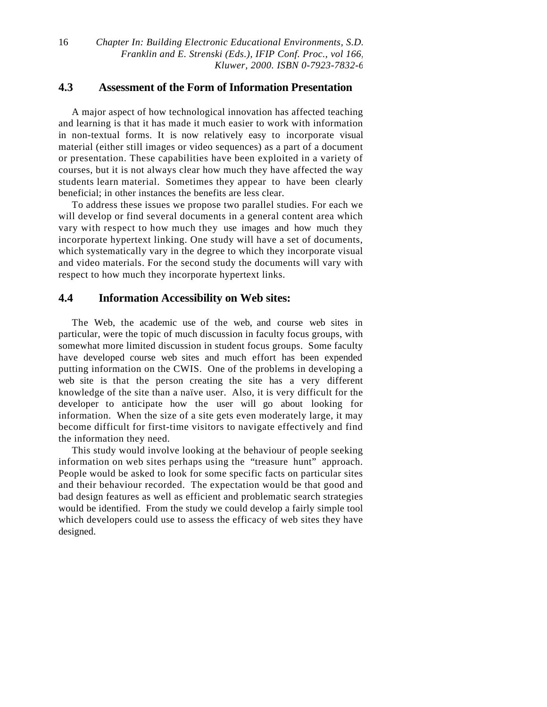### **4.3 Assessment of the Form of Information Presentation**

A major aspect of how technological innovation has affected teaching and learning is that it has made it much easier to work with information in non-textual forms. It is now relatively easy to incorporate visual material (either still images or video sequences) as a part of a document or presentation. These capabilities have been exploited in a variety of courses, but it is not always clear how much they have affected the way students learn material. Sometimes they appear to have been clearly beneficial; in other instances the benefits are less clear.

To address these issues we propose two parallel studies. For each we will develop or find several documents in a general content area which vary with respect to how much they use images and how much they incorporate hypertext linking. One study will have a set of documents, which systematically vary in the degree to which they incorporate visual and video materials. For the second study the documents will vary with respect to how much they incorporate hypertext links.

#### **4.4 Information Accessibility on Web sites:**

The Web, the academic use of the web, and course web sites in particular, were the topic of much discussion in faculty focus groups, with somewhat more limited discussion in student focus groups. Some faculty have developed course web sites and much effort has been expended putting information on the CWIS. One of the problems in developing a web site is that the person creating the site has a very different knowledge of the site than a naïve user. Also, it is very difficult for the developer to anticipate how the user will go about looking for information. When the size of a site gets even moderately large, it may become difficult for first-time visitors to navigate effectively and find the information they need.

This study would involve looking at the behaviour of people seeking information on web sites perhaps using the "treasure hunt" approach. People would be asked to look for some specific facts on particular sites and their behaviour recorded. The expectation would be that good and bad design features as well as efficient and problematic search strategies would be identified. From the study we could develop a fairly simple tool which developers could use to assess the efficacy of web sites they have designed.